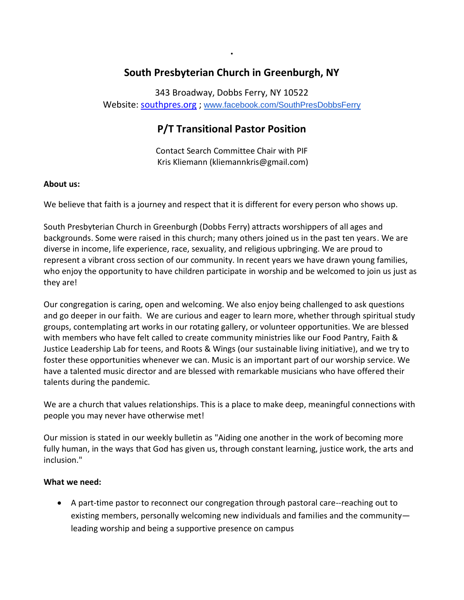# **South Presbyterian Church in Greenburgh, NY**

**.**

343 Broadway, Dobbs Ferry, NY 10522 Website: [southpres.org](http://www.southpres.org/) ; [www.facebook.com/SouthPresDobbsFerry](http://www.facebook.com/SouthPresDobbsFerry)

## **P/T Transitional Pastor Position**

Contact Search Committee Chair with PIF Kris Kliemann (kliemannkris@gmail.com)

### **About us:**

We believe that faith is a journey and respect that it is different for every person who shows up.

South Presbyterian Church in Greenburgh (Dobbs Ferry) attracts worshippers of all ages and backgrounds. Some were raised in this church; many others joined us in the past ten years. We are diverse in income, life experience, race, sexuality, and religious upbringing. We are proud to represent a vibrant cross section of our community. In recent years we have drawn young families, who enjoy the opportunity to have children participate in worship and be welcomed to join us just as they are!

Our congregation is caring, open and welcoming. We also enjoy being challenged to ask questions and go deeper in our faith. We are curious and eager to learn more, whether through spiritual study groups, contemplating art works in our rotating gallery, or volunteer opportunities. We are blessed with members who have felt called to create community ministries like our Food Pantry, Faith & Justice Leadership Lab for teens, and Roots & Wings (our sustainable living initiative), and we try to foster these opportunities whenever we can. Music is an important part of our worship service. We have a talented music director and are blessed with remarkable musicians who have offered their talents during the pandemic.

We are a church that values relationships. This is a place to make deep, meaningful connections with people you may never have otherwise met!

Our mission is stated in our weekly bulletin as "Aiding one another in the work of becoming more fully human, in the ways that God has given us, through constant learning, justice work, the arts and inclusion."

### **What we need:**

• A part-time pastor to reconnect our congregation through pastoral care--reaching out to existing members, personally welcoming new individuals and families and the community leading worship and being a supportive presence on campus